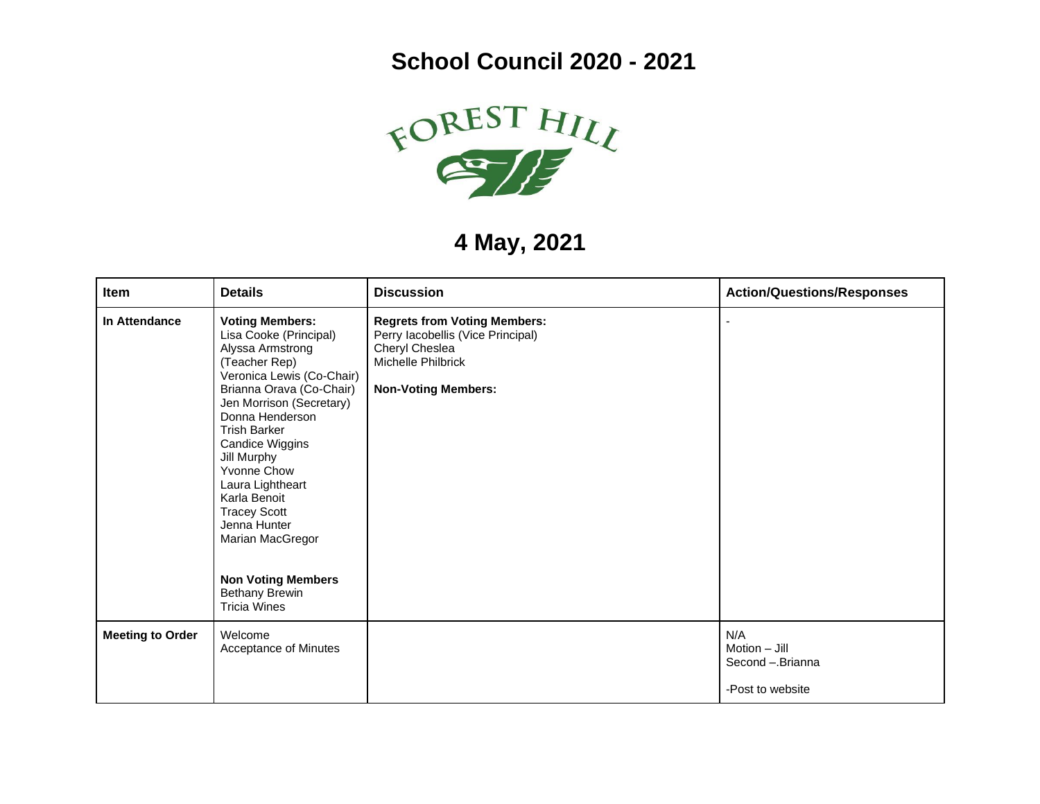## **School Council 2020 - 2021**



## **4 May, 2021**

| Item                    | <b>Details</b>                                                                                                                                                                                                                                                                                                                                                                                                                             | <b>Discussion</b>                                                                                                                              | <b>Action/Questions/Responses</b>                              |
|-------------------------|--------------------------------------------------------------------------------------------------------------------------------------------------------------------------------------------------------------------------------------------------------------------------------------------------------------------------------------------------------------------------------------------------------------------------------------------|------------------------------------------------------------------------------------------------------------------------------------------------|----------------------------------------------------------------|
| In Attendance           | <b>Voting Members:</b><br>Lisa Cooke (Principal)<br>Alyssa Armstrong<br>(Teacher Rep)<br>Veronica Lewis (Co-Chair)<br>Brianna Orava (Co-Chair)<br>Jen Morrison (Secretary)<br>Donna Henderson<br><b>Trish Barker</b><br>Candice Wiggins<br>Jill Murphy<br>Yvonne Chow<br>Laura Lightheart<br>Karla Benoit<br><b>Tracey Scott</b><br>Jenna Hunter<br>Marian MacGregor<br><b>Non Voting Members</b><br>Bethany Brewin<br><b>Tricia Wines</b> | <b>Regrets from Voting Members:</b><br>Perry lacobellis (Vice Principal)<br>Cheryl Cheslea<br>Michelle Philbrick<br><b>Non-Voting Members:</b> |                                                                |
| <b>Meeting to Order</b> | Welcome<br>Acceptance of Minutes                                                                                                                                                                                                                                                                                                                                                                                                           |                                                                                                                                                | N/A<br>$Motion - Jill$<br>Second - Brianna<br>-Post to website |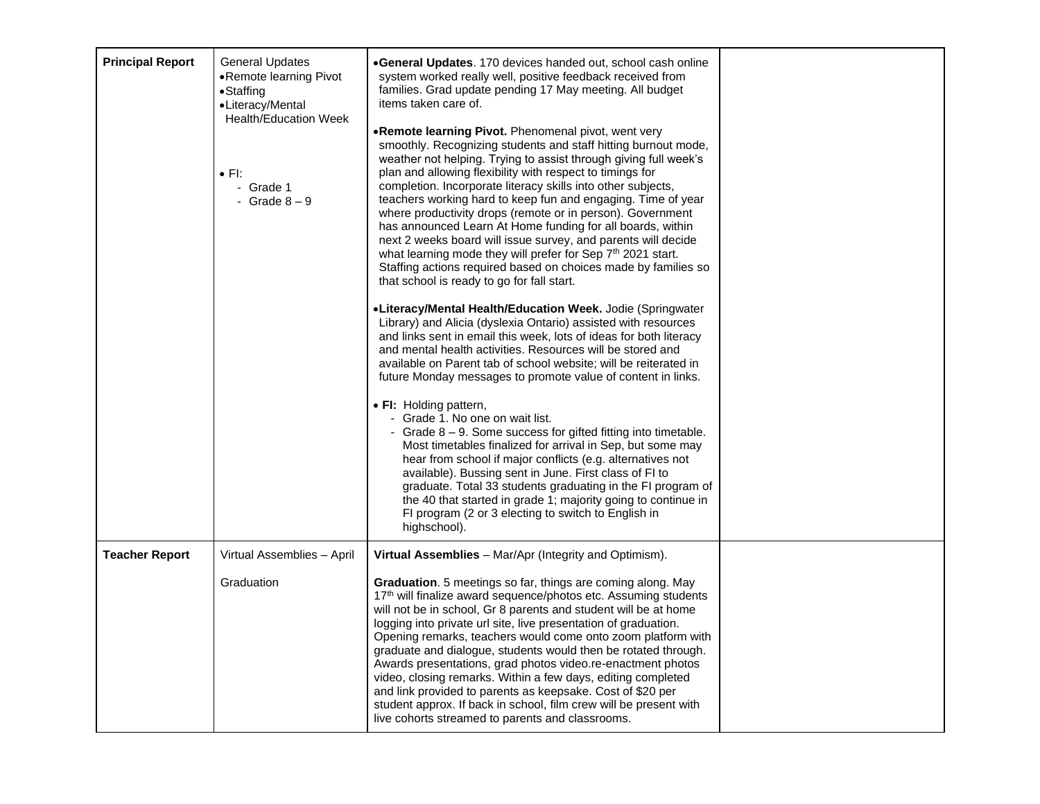| <b>Principal Report</b> | <b>General Updates</b><br>•Remote learning Pivot<br>•Staffing<br>•Literacy/Mental<br><b>Health/Education Week</b><br>$\bullet$ FI:<br>- Grade 1<br>- Grade $8-9$ | •General Updates. 170 devices handed out, school cash online<br>system worked really well, positive feedback received from<br>families. Grad update pending 17 May meeting. All budget<br>items taken care of.<br>.Remote learning Pivot. Phenomenal pivot, went very<br>smoothly. Recognizing students and staff hitting burnout mode,<br>weather not helping. Trying to assist through giving full week's<br>plan and allowing flexibility with respect to timings for<br>completion. Incorporate literacy skills into other subjects,<br>teachers working hard to keep fun and engaging. Time of year<br>where productivity drops (remote or in person). Government<br>has announced Learn At Home funding for all boards, within<br>next 2 weeks board will issue survey, and parents will decide<br>what learning mode they will prefer for Sep 7th 2021 start.<br>Staffing actions required based on choices made by families so<br>that school is ready to go for fall start.<br>•Literacy/Mental Health/Education Week. Jodie (Springwater<br>Library) and Alicia (dyslexia Ontario) assisted with resources<br>and links sent in email this week, lots of ideas for both literacy<br>and mental health activities. Resources will be stored and<br>available on Parent tab of school website; will be reiterated in<br>future Monday messages to promote value of content in links.<br>• FI: Holding pattern,<br>- Grade 1. No one on wait list.<br>- Grade $8 - 9$ . Some success for gifted fitting into timetable.<br>Most timetables finalized for arrival in Sep, but some may<br>hear from school if major conflicts (e.g. alternatives not<br>available). Bussing sent in June. First class of FI to<br>graduate. Total 33 students graduating in the FI program of<br>the 40 that started in grade 1; majority going to continue in<br>FI program (2 or 3 electing to switch to English in<br>highschool). |  |
|-------------------------|------------------------------------------------------------------------------------------------------------------------------------------------------------------|-----------------------------------------------------------------------------------------------------------------------------------------------------------------------------------------------------------------------------------------------------------------------------------------------------------------------------------------------------------------------------------------------------------------------------------------------------------------------------------------------------------------------------------------------------------------------------------------------------------------------------------------------------------------------------------------------------------------------------------------------------------------------------------------------------------------------------------------------------------------------------------------------------------------------------------------------------------------------------------------------------------------------------------------------------------------------------------------------------------------------------------------------------------------------------------------------------------------------------------------------------------------------------------------------------------------------------------------------------------------------------------------------------------------------------------------------------------------------------------------------------------------------------------------------------------------------------------------------------------------------------------------------------------------------------------------------------------------------------------------------------------------------------------------------------------------------------------------------------------------------------------------------------------------------------|--|
| <b>Teacher Report</b>   | Virtual Assemblies - April<br>Graduation                                                                                                                         | Virtual Assemblies - Mar/Apr (Integrity and Optimism).<br>Graduation. 5 meetings so far, things are coming along. May<br>17th will finalize award sequence/photos etc. Assuming students<br>will not be in school, Gr 8 parents and student will be at home<br>logging into private url site, live presentation of graduation.<br>Opening remarks, teachers would come onto zoom platform with<br>graduate and dialogue, students would then be rotated through.<br>Awards presentations, grad photos video.re-enactment photos<br>video, closing remarks. Within a few days, editing completed<br>and link provided to parents as keepsake. Cost of \$20 per<br>student approx. If back in school, film crew will be present with<br>live cohorts streamed to parents and classrooms.                                                                                                                                                                                                                                                                                                                                                                                                                                                                                                                                                                                                                                                                                                                                                                                                                                                                                                                                                                                                                                                                                                                                      |  |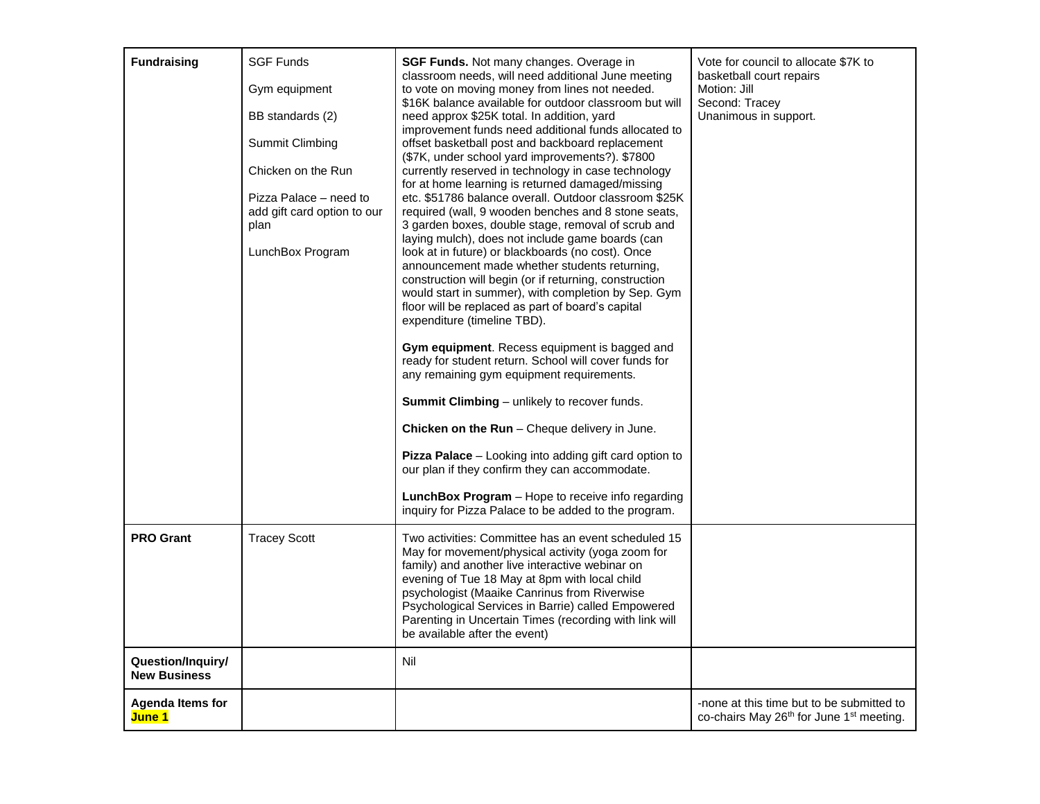| <b>Fundraising</b>                       | <b>SGF Funds</b><br>Gym equipment<br>BB standards (2)<br>Summit Climbing<br>Chicken on the Run<br>Pizza Palace – need to<br>add gift card option to our<br>plan<br>LunchBox Program | <b>SGF Funds.</b> Not many changes. Overage in<br>classroom needs, will need additional June meeting<br>to vote on moving money from lines not needed.<br>\$16K balance available for outdoor classroom but will<br>need approx \$25K total. In addition, yard<br>improvement funds need additional funds allocated to<br>offset basketball post and backboard replacement<br>(\$7K, under school yard improvements?). \$7800<br>currently reserved in technology in case technology<br>for at home learning is returned damaged/missing<br>etc. \$51786 balance overall. Outdoor classroom \$25K<br>required (wall, 9 wooden benches and 8 stone seats,<br>3 garden boxes, double stage, removal of scrub and<br>laying mulch), does not include game boards (can<br>look at in future) or blackboards (no cost). Once<br>announcement made whether students returning,<br>construction will begin (or if returning, construction<br>would start in summer), with completion by Sep. Gym<br>floor will be replaced as part of board's capital<br>expenditure (timeline TBD).<br>Gym equipment. Recess equipment is bagged and<br>ready for student return. School will cover funds for<br>any remaining gym equipment requirements.<br><b>Summit Climbing</b> – unlikely to recover funds.<br>Chicken on the Run - Cheque delivery in June.<br>Pizza Palace - Looking into adding gift card option to<br>our plan if they confirm they can accommodate.<br>LunchBox Program - Hope to receive info regarding<br>inquiry for Pizza Palace to be added to the program. | Vote for council to allocate \$7K to<br>basketball court repairs<br>Motion: Jill<br>Second: Tracey<br>Unanimous in support. |
|------------------------------------------|-------------------------------------------------------------------------------------------------------------------------------------------------------------------------------------|-----------------------------------------------------------------------------------------------------------------------------------------------------------------------------------------------------------------------------------------------------------------------------------------------------------------------------------------------------------------------------------------------------------------------------------------------------------------------------------------------------------------------------------------------------------------------------------------------------------------------------------------------------------------------------------------------------------------------------------------------------------------------------------------------------------------------------------------------------------------------------------------------------------------------------------------------------------------------------------------------------------------------------------------------------------------------------------------------------------------------------------------------------------------------------------------------------------------------------------------------------------------------------------------------------------------------------------------------------------------------------------------------------------------------------------------------------------------------------------------------------------------------------------------------------------------------|-----------------------------------------------------------------------------------------------------------------------------|
| <b>PRO Grant</b>                         | <b>Tracey Scott</b>                                                                                                                                                                 | Two activities: Committee has an event scheduled 15<br>May for movement/physical activity (yoga zoom for<br>family) and another live interactive webinar on<br>evening of Tue 18 May at 8pm with local child<br>psychologist (Maaike Canrinus from Riverwise<br>Psychological Services in Barrie) called Empowered<br>Parenting in Uncertain Times (recording with link will<br>be available after the event)                                                                                                                                                                                                                                                                                                                                                                                                                                                                                                                                                                                                                                                                                                                                                                                                                                                                                                                                                                                                                                                                                                                                                         |                                                                                                                             |
| Question/Inquiry/<br><b>New Business</b> |                                                                                                                                                                                     | Nil                                                                                                                                                                                                                                                                                                                                                                                                                                                                                                                                                                                                                                                                                                                                                                                                                                                                                                                                                                                                                                                                                                                                                                                                                                                                                                                                                                                                                                                                                                                                                                   |                                                                                                                             |
| <b>Agenda Items for</b><br>June 1        |                                                                                                                                                                                     |                                                                                                                                                                                                                                                                                                                                                                                                                                                                                                                                                                                                                                                                                                                                                                                                                                                                                                                                                                                                                                                                                                                                                                                                                                                                                                                                                                                                                                                                                                                                                                       | -none at this time but to be submitted to<br>co-chairs May 26th for June 1 <sup>st</sup> meeting.                           |